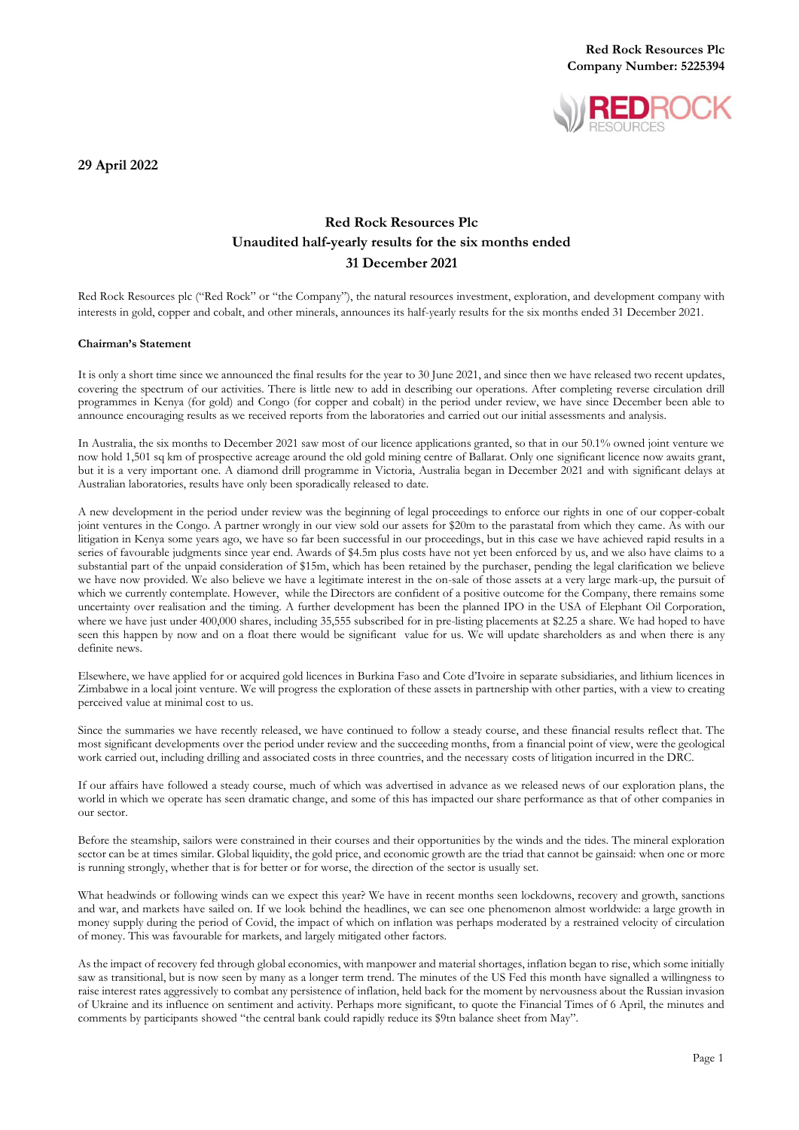

**29 April 2022**

# **Red Rock Resources Plc Unaudited half-yearly results for the six months ended 31 December 2021**

Red Rock Resources plc ("Red Rock" or "the Company"), the natural resources investment, exploration, and development company with interests in gold, copper and cobalt, and other minerals, announces its half-yearly results for the six months ended 31 December 2021.

#### **Chairman's Statement**

It is only a short time since we announced the final results for the year to 30 June 2021, and since then we have released two recent updates, covering the spectrum of our activities. There is little new to add in describing our operations. After completing reverse circulation drill programmes in Kenya (for gold) and Congo (for copper and cobalt) in the period under review, we have since December been able to announce encouraging results as we received reports from the laboratories and carried out our initial assessments and analysis.

In Australia, the six months to December 2021 saw most of our licence applications granted, so that in our 50.1% owned joint venture we now hold 1,501 sq km of prospective acreage around the old gold mining centre of Ballarat. Only one significant licence now awaits grant, but it is a very important one. A diamond drill programme in Victoria, Australia began in December 2021 and with significant delays at Australian laboratories, results have only been sporadically released to date.

A new development in the period under review was the beginning of legal proceedings to enforce our rights in one of our copper-cobalt joint ventures in the Congo. A partner wrongly in our view sold our assets for \$20m to the parastatal from which they came. As with our litigation in Kenya some years ago, we have so far been successful in our proceedings, but in this case we have achieved rapid results in a series of favourable judgments since year end. Awards of \$4.5m plus costs have not yet been enforced by us, and we also have claims to a substantial part of the unpaid consideration of \$15m, which has been retained by the purchaser, pending the legal clarification we believe we have now provided. We also believe we have a legitimate interest in the on-sale of those assets at a very large mark-up, the pursuit of which we currently contemplate. However, while the Directors are confident of a positive outcome for the Company, there remains some uncertainty over realisation and the timing. A further development has been the planned IPO in the USA of Elephant Oil Corporation, where we have just under 400,000 shares, including 35,555 subscribed for in pre-listing placements at \$2.25 a share. We had hoped to have seen this happen by now and on a float there would be significant value for us. We will update shareholders as and when there is any definite news.

Elsewhere, we have applied for or acquired gold licences in Burkina Faso and Cote d'Ivoire in separate subsidiaries, and lithium licences in Zimbabwe in a local joint venture. We will progress the exploration of these assets in partnership with other parties, with a view to creating perceived value at minimal cost to us.

Since the summaries we have recently released, we have continued to follow a steady course, and these financial results reflect that. The most significant developments over the period under review and the succeeding months, from a financial point of view, were the geological work carried out, including drilling and associated costs in three countries, and the necessary costs of litigation incurred in the DRC.

If our affairs have followed a steady course, much of which was advertised in advance as we released news of our exploration plans, the world in which we operate has seen dramatic change, and some of this has impacted our share performance as that of other companies in our sector.

Before the steamship, sailors were constrained in their courses and their opportunities by the winds and the tides. The mineral exploration sector can be at times similar. Global liquidity, the gold price, and economic growth are the triad that cannot be gainsaid: when one or more is running strongly, whether that is for better or for worse, the direction of the sector is usually set.

What headwinds or following winds can we expect this year? We have in recent months seen lockdowns, recovery and growth, sanctions and war, and markets have sailed on. If we look behind the headlines, we can see one phenomenon almost worldwide: a large growth in money supply during the period of Covid, the impact of which on inflation was perhaps moderated by a restrained velocity of circulation of money. This was favourable for markets, and largely mitigated other factors.

As the impact of recovery fed through global economies, with manpower and material shortages, inflation began to rise, which some initially saw as transitional, but is now seen by many as a longer term trend. The minutes of the US Fed this month have signalled a willingness to raise interest rates aggressively to combat any persistence of inflation, held back for the moment by nervousness about the Russian invasion of Ukraine and its influence on sentiment and activity. Perhaps more significant, to quote the Financial Times of 6 April, the minutes and comments by participants showed "the central bank could rapidly reduce its \$9tn balance sheet from May".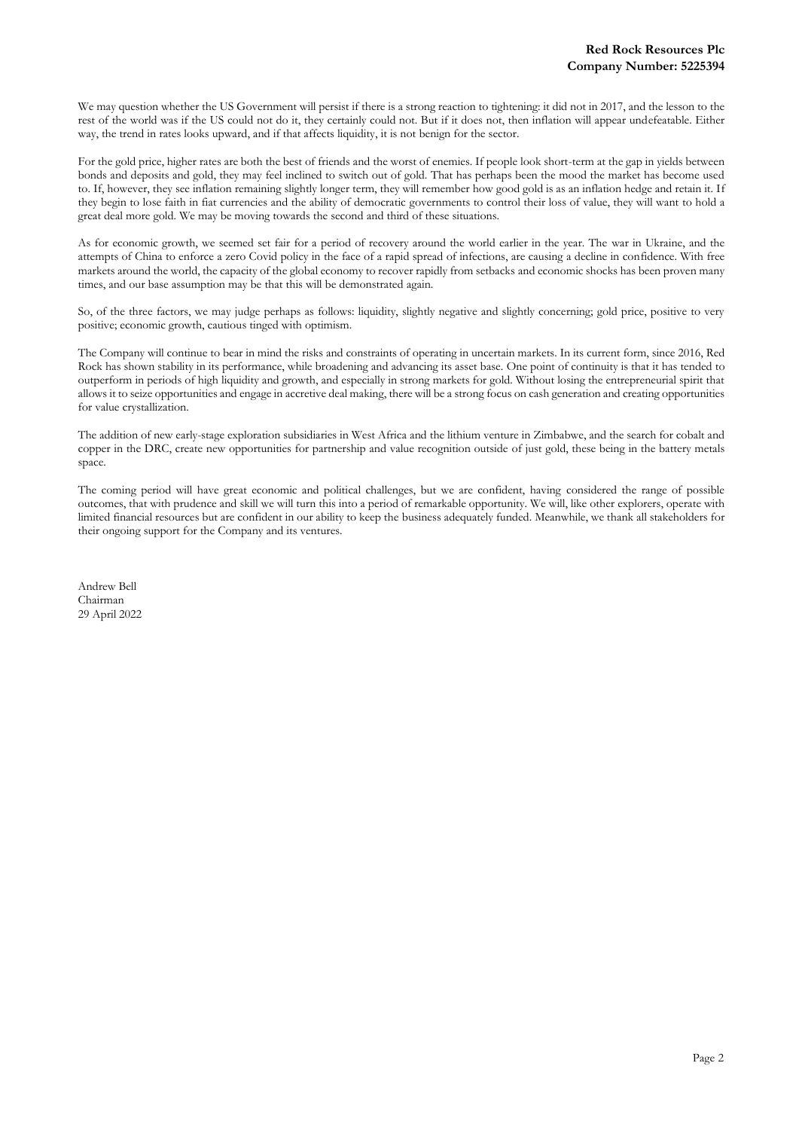We may question whether the US Government will persist if there is a strong reaction to tightening: it did not in 2017, and the lesson to the rest of the world was if the US could not do it, they certainly could not. But if it does not, then inflation will appear undefeatable. Either way, the trend in rates looks upward, and if that affects liquidity, it is not benign for the sector.

For the gold price, higher rates are both the best of friends and the worst of enemies. If people look short-term at the gap in yields between bonds and deposits and gold, they may feel inclined to switch out of gold. That has perhaps been the mood the market has become used to. If, however, they see inflation remaining slightly longer term, they will remember how good gold is as an inflation hedge and retain it. If they begin to lose faith in fiat currencies and the ability of democratic governments to control their loss of value, they will want to hold a great deal more gold. We may be moving towards the second and third of these situations.

As for economic growth, we seemed set fair for a period of recovery around the world earlier in the year. The war in Ukraine, and the attempts of China to enforce a zero Covid policy in the face of a rapid spread of infections, are causing a decline in confidence. With free markets around the world, the capacity of the global economy to recover rapidly from setbacks and economic shocks has been proven many times, and our base assumption may be that this will be demonstrated again.

So, of the three factors, we may judge perhaps as follows: liquidity, slightly negative and slightly concerning; gold price, positive to very positive; economic growth, cautious tinged with optimism.

The Company will continue to bear in mind the risks and constraints of operating in uncertain markets. In its current form, since 2016, Red Rock has shown stability in its performance, while broadening and advancing its asset base. One point of continuity is that it has tended to outperform in periods of high liquidity and growth, and especially in strong markets for gold. Without losing the entrepreneurial spirit that allows it to seize opportunities and engage in accretive deal making, there will be a strong focus on cash generation and creating opportunities for value crystallization.

The addition of new early-stage exploration subsidiaries in West Africa and the lithium venture in Zimbabwe, and the search for cobalt and copper in the DRC, create new opportunities for partnership and value recognition outside of just gold, these being in the battery metals space.

The coming period will have great economic and political challenges, but we are confident, having considered the range of possible outcomes, that with prudence and skill we will turn this into a period of remarkable opportunity. We will, like other explorers, operate with limited financial resources but are confident in our ability to keep the business adequately funded. Meanwhile, we thank all stakeholders for their ongoing support for the Company and its ventures.

Andrew Bell Chairman 29 April 2022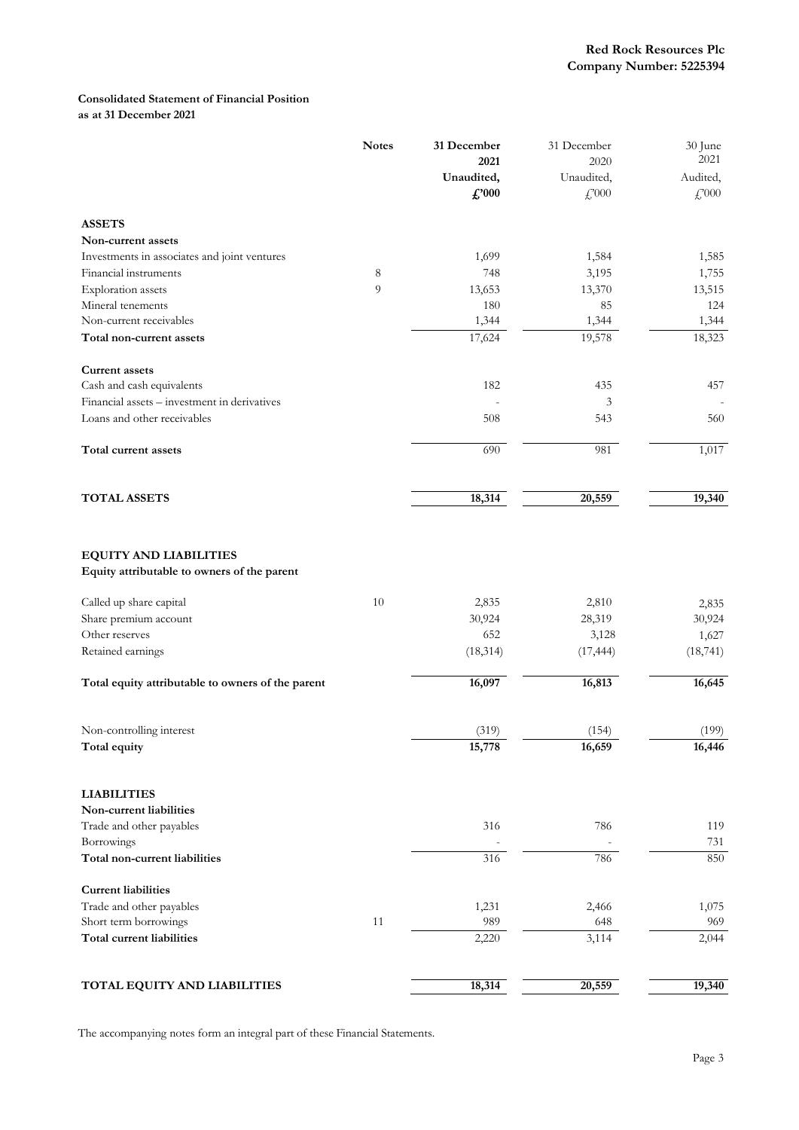## **Consolidated Statement of Financial Position as at 31 December 2021**

|                                                                              | <b>Notes</b> | 31 December<br>2021<br>Unaudited,<br>$\pounds$ '000 | 31 December<br>2020<br>Unaudited,<br>$\mathcal{L}^{000}$ | 30 June<br>2021<br>Audited,<br>$\mathcal{L}^{000}$ |
|------------------------------------------------------------------------------|--------------|-----------------------------------------------------|----------------------------------------------------------|----------------------------------------------------|
| <b>ASSETS</b>                                                                |              |                                                     |                                                          |                                                    |
| Non-current assets                                                           |              |                                                     |                                                          |                                                    |
| Investments in associates and joint ventures                                 |              | 1,699                                               | 1,584                                                    | 1,585                                              |
| Financial instruments                                                        | $\,8\,$      | 748                                                 | 3,195                                                    | 1,755                                              |
| <b>Exploration</b> assets                                                    | 9            | 13,653                                              | 13,370                                                   | 13,515                                             |
| Mineral tenements                                                            |              | 180                                                 | 85                                                       | 124                                                |
| Non-current receivables                                                      |              | 1,344                                               | 1,344                                                    | 1,344                                              |
| Total non-current assets                                                     |              | 17,624                                              | 19,578                                                   | 18,323                                             |
| <b>Current assets</b>                                                        |              |                                                     |                                                          |                                                    |
| Cash and cash equivalents                                                    |              | 182                                                 | 435                                                      | 457                                                |
| Financial assets - investment in derivatives                                 |              |                                                     | 3                                                        |                                                    |
| Loans and other receivables                                                  |              | 508                                                 | 543                                                      | 560                                                |
| Total current assets                                                         |              | 690                                                 | 981                                                      | 1,017                                              |
| <b>TOTAL ASSETS</b>                                                          |              | 18,314                                              | 20,559                                                   | 19,340                                             |
| <b>EQUITY AND LIABILITIES</b><br>Equity attributable to owners of the parent |              |                                                     |                                                          |                                                    |
| Called up share capital                                                      | 10           | 2,835                                               | 2,810                                                    | 2,835                                              |
| Share premium account                                                        |              | 30,924                                              | 28,319                                                   | 30,924                                             |
| Other reserves                                                               |              | 652                                                 | 3,128                                                    | 1,627                                              |
| Retained earnings                                                            |              | (18, 314)                                           | (17, 444)                                                | (18, 741)                                          |
| Total equity attributable to owners of the parent                            |              | 16,097                                              | 16,813                                                   | 16,645                                             |
| Non-controlling interest                                                     |              | (319)                                               | (154)                                                    | (199)                                              |
| Total equity                                                                 |              | 15,778                                              | 16,659                                                   | 16,446                                             |
| <b>LIABILITIES</b>                                                           |              |                                                     |                                                          |                                                    |
| Non-current liabilities                                                      |              |                                                     |                                                          |                                                    |
| Trade and other payables                                                     |              | 316                                                 | 786                                                      | 119                                                |
| Borrowings<br>Total non-current liabilities                                  |              | 316                                                 | 786                                                      | 731<br>850                                         |
|                                                                              |              |                                                     |                                                          |                                                    |
| <b>Current liabilities</b>                                                   |              |                                                     |                                                          |                                                    |
| Trade and other payables                                                     |              | 1,231                                               | 2,466                                                    | 1,075                                              |
| Short term borrowings                                                        | 11           | 989                                                 | 648                                                      | 969                                                |
| Total current liabilities                                                    |              | 2,220                                               | 3,114                                                    | 2,044                                              |
| TOTAL EQUITY AND LIABILITIES                                                 |              | 18,314                                              | 20,559                                                   | 19,340                                             |

The accompanying notes form an integral part of these Financial Statements.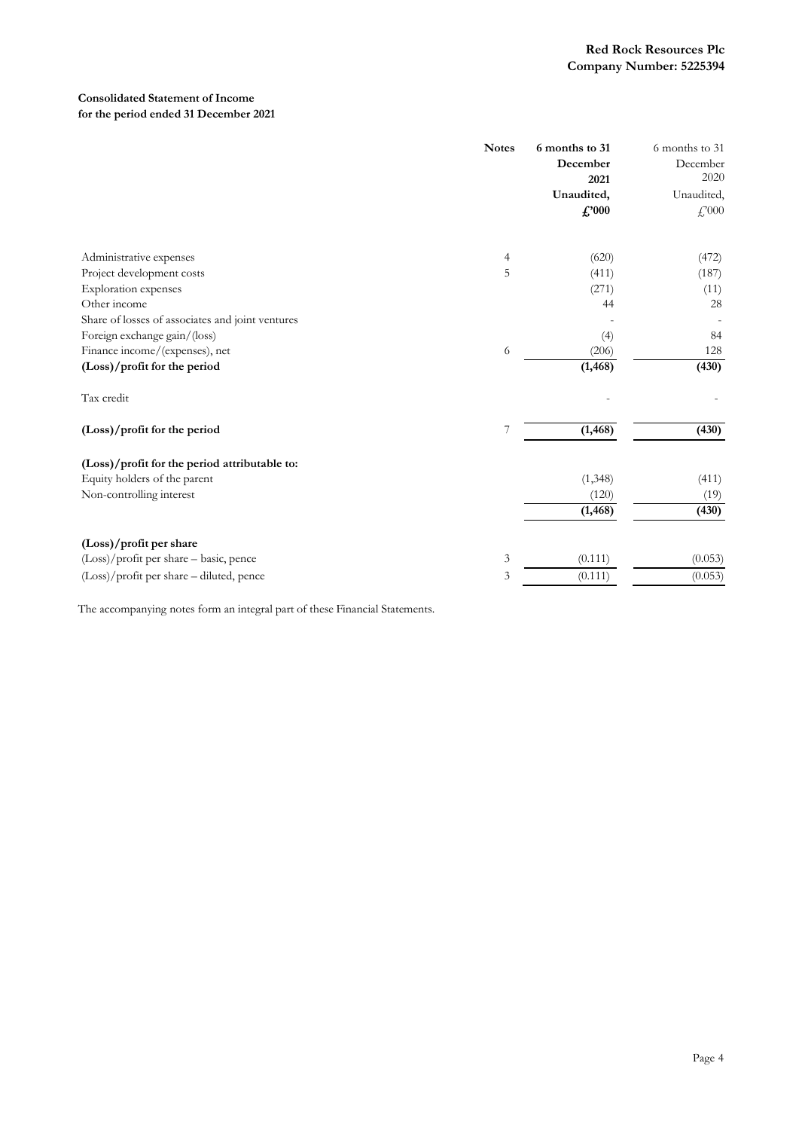## **Consolidated Statement of Income for the period ended 31 December 2021**

|                                                  | <b>Notes</b> | 6 months to 31<br>December<br>2021<br>Unaudited,<br>$f''_{000}$ | 6 months to 31<br>December<br>2020<br>Unaudited,<br>$\mathcal{L}^{000}$ |
|--------------------------------------------------|--------------|-----------------------------------------------------------------|-------------------------------------------------------------------------|
|                                                  |              |                                                                 |                                                                         |
| Administrative expenses                          | 4            | (620)                                                           | (472)                                                                   |
| Project development costs                        | 5            | (411)                                                           | (187)                                                                   |
| Exploration expenses<br>Other income             |              | (271)<br>44                                                     | (11)<br>28                                                              |
| Share of losses of associates and joint ventures |              |                                                                 |                                                                         |
| Foreign exchange gain/(loss)                     |              | (4)                                                             | 84                                                                      |
| Finance income/(expenses), net                   | 6            | (206)                                                           | 128                                                                     |
| (Loss)/profit for the period                     |              | (1, 468)                                                        | (430)                                                                   |
| Tax credit                                       |              |                                                                 |                                                                         |
| (Loss)/profit for the period                     | 7            | (1, 468)                                                        | (430)                                                                   |
| (Loss)/profit for the period attributable to:    |              |                                                                 |                                                                         |
| Equity holders of the parent                     |              | (1, 348)                                                        | (411)                                                                   |
| Non-controlling interest                         |              | (120)                                                           | (19)                                                                    |
|                                                  |              | (1, 468)                                                        | (430)                                                                   |
| (Loss)/profit per share                          |              |                                                                 |                                                                         |
| $(Loss)/profit$ per share – basic, pence         | 3            | (0.111)                                                         | (0.053)                                                                 |
| (Loss)/profit per share - diluted, pence         | 3            | (0.111)                                                         | (0.053)                                                                 |

The accompanying notes form an integral part of these Financial Statements.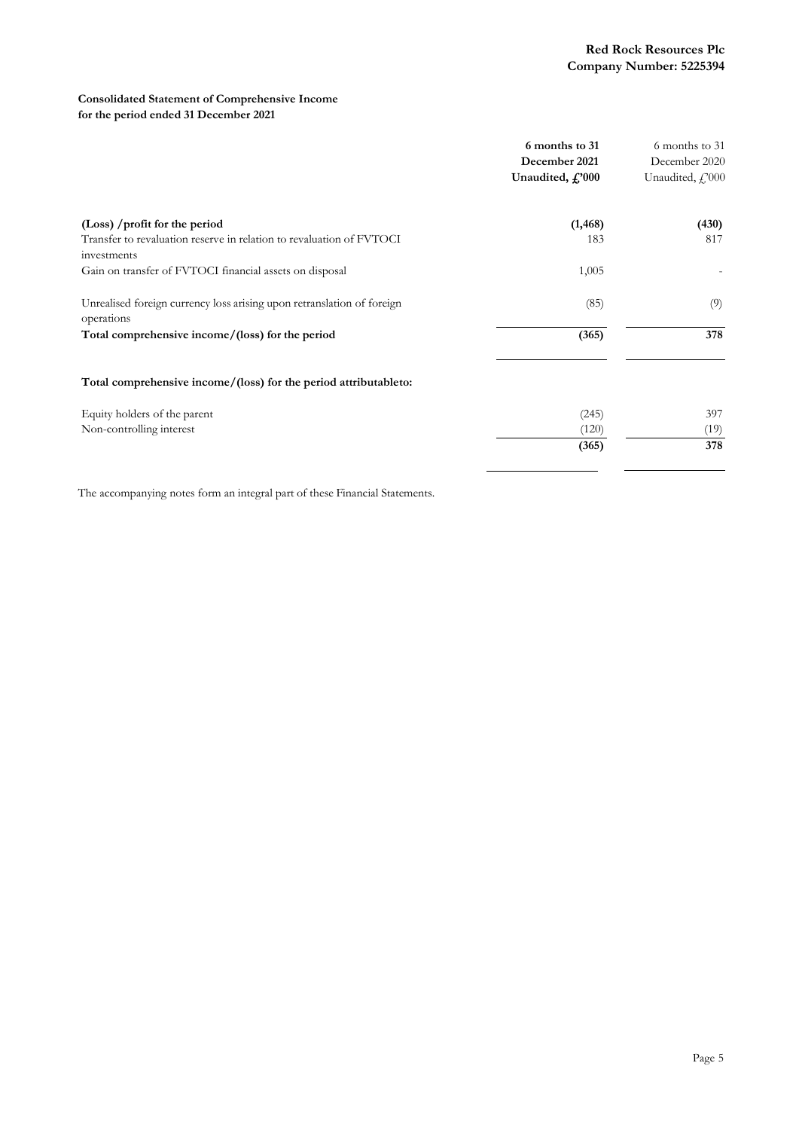## **Consolidated Statement of Comprehensive Income for the period ended 31 December 2021**

|                                                                                      | 6 months to 31            | 6 months to 31        |  |
|--------------------------------------------------------------------------------------|---------------------------|-----------------------|--|
|                                                                                      | December 2021             | December 2020         |  |
|                                                                                      | Unaudited, $f'_0$ , $000$ | Unaudited, $f$ , 2000 |  |
| (Loss) /profit for the period                                                        | (1, 468)                  | (430)                 |  |
| Transfer to revaluation reserve in relation to revaluation of FVTOCI<br>investments  | 183                       | 817                   |  |
| Gain on transfer of FVTOCI financial assets on disposal                              | 1,005                     |                       |  |
| Unrealised foreign currency loss arising upon retranslation of foreign<br>operations | (85)                      | (9)                   |  |
| Total comprehensive income/(loss) for the period                                     | (365)                     | 378                   |  |
| Total comprehensive income/(loss) for the period attributableto:                     |                           |                       |  |
| Equity holders of the parent                                                         | (245)                     | 397                   |  |
| Non-controlling interest                                                             | (120)                     | (19)                  |  |
|                                                                                      | (365)                     | 378                   |  |
|                                                                                      |                           |                       |  |

The accompanying notes form an integral part of these Financial Statements.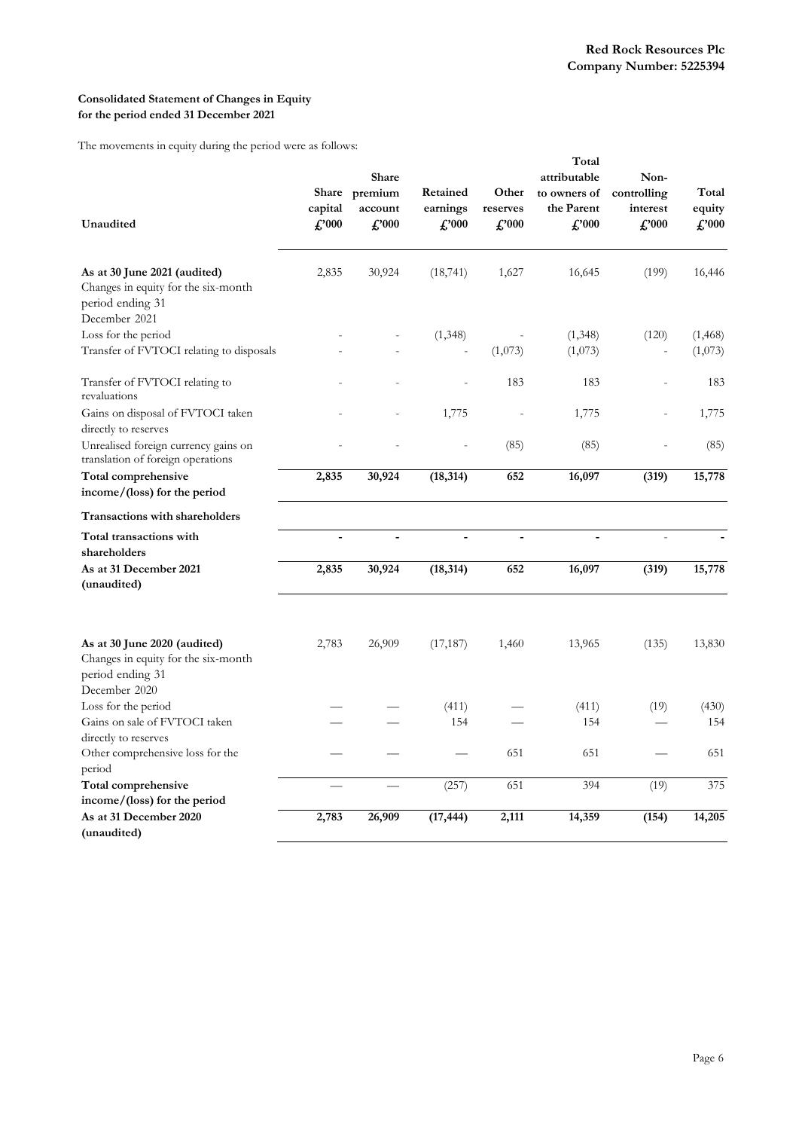## **Consolidated Statement of Changes in Equity for the period ended 31 December 2021**

The movements in equity during the period were as follows:

| Unaudited                                                                                                | Share<br>capital<br>$\pounds$ '000 | Share<br>premium<br>account<br>$\pounds 000$ | Retained<br>earnings<br>f.'000 | Other<br>reserves<br>$\pounds 000$ | Total<br>attributable<br>to owners of<br>the Parent<br>$f''_{000}$ | Non-<br>controlling<br>interest<br>$f''_{000}$ | Total<br>equity<br>$\pounds$ '000 |
|----------------------------------------------------------------------------------------------------------|------------------------------------|----------------------------------------------|--------------------------------|------------------------------------|--------------------------------------------------------------------|------------------------------------------------|-----------------------------------|
| As at 30 June 2021 (audited)<br>Changes in equity for the six-month<br>period ending 31<br>December 2021 | 2,835                              | 30,924                                       | (18, 741)                      | 1,627                              | 16,645                                                             | (199)                                          | 16,446                            |
| Loss for the period                                                                                      |                                    |                                              | (1, 348)                       |                                    | (1,348)                                                            | (120)                                          | (1, 468)                          |
| Transfer of FVTOCI relating to disposals                                                                 |                                    |                                              |                                | (1,073)                            | (1,073)                                                            |                                                | (1,073)                           |
| Transfer of FVTOCI relating to<br>revaluations                                                           |                                    |                                              |                                | 183                                | 183                                                                |                                                | 183                               |
| Gains on disposal of FVTOCI taken<br>directly to reserves                                                |                                    |                                              | 1,775                          |                                    | 1,775                                                              |                                                | 1,775                             |
| Unrealised foreign currency gains on<br>translation of foreign operations                                |                                    |                                              |                                | (85)                               | (85)                                                               |                                                | (85)                              |
| <b>Total comprehensive</b><br>income/(loss) for the period                                               | 2,835                              | 30,924                                       | (18, 314)                      | 652                                | 16,097                                                             | (319)                                          | 15,778                            |
| Transactions with shareholders                                                                           |                                    |                                              |                                |                                    |                                                                    |                                                |                                   |
| Total transactions with<br>shareholders                                                                  | $\overline{a}$                     | $\overline{a}$                               |                                | $\overline{a}$                     | $\overline{a}$                                                     |                                                |                                   |
| As at 31 December 2021<br>(unaudited)                                                                    | 2,835                              | 30,924                                       | (18, 314)                      | 652                                | 16,097                                                             | (319)                                          | 15,778                            |
| As at 30 June 2020 (audited)<br>Changes in equity for the six-month<br>period ending 31                  | 2,783                              | 26,909                                       | (17, 187)                      | 1,460                              | 13,965                                                             | (135)                                          | 13,830                            |
| December 2020<br>Loss for the period                                                                     |                                    |                                              | (411)                          |                                    | (411)                                                              | (19)                                           | (430)                             |
| Gains on sale of FVTOCI taken<br>directly to reserves                                                    |                                    |                                              | 154                            |                                    | 154                                                                |                                                | 154                               |
| Other comprehensive loss for the<br>period                                                               |                                    |                                              |                                | 651                                | 651                                                                |                                                | 651                               |
| Total comprehensive<br>income/(loss) for the period                                                      |                                    |                                              | (257)                          | 651                                | 394                                                                | (19)                                           | 375                               |
| As at 31 December 2020<br>(unaudited)                                                                    | 2,783                              | 26,909                                       | (17, 444)                      | 2,111                              | 14,359                                                             | (154)                                          | 14,205                            |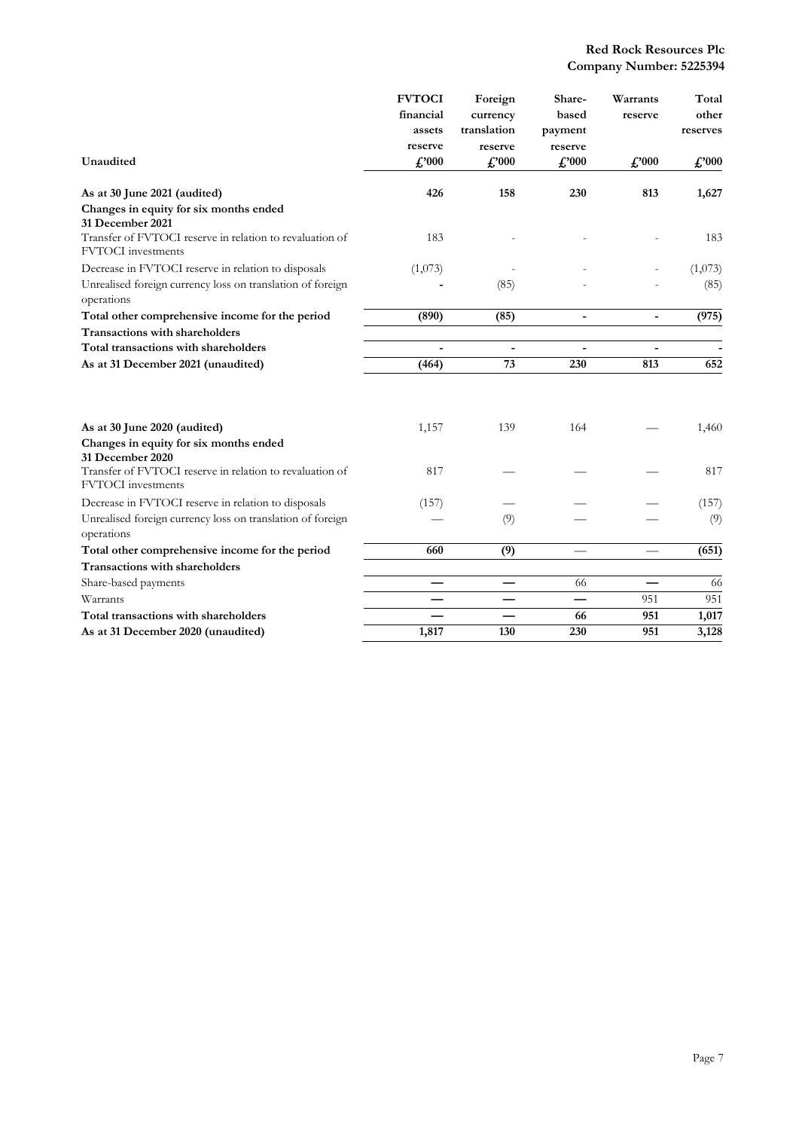|                                                                                       | <b>FVTOCI</b> | Foreign        | Share-         | Warrants       | Total          |
|---------------------------------------------------------------------------------------|---------------|----------------|----------------|----------------|----------------|
|                                                                                       | financial     | currency       | based          | reserve        | other          |
|                                                                                       | assets        | translation    | payment        |                | reserves       |
|                                                                                       | reserve       | reserve        | reserve        |                |                |
| Unaudited                                                                             | f''000        | $\pounds$ '000 | $\pounds 000$  | $\pounds$ '000 | $\pounds$ '000 |
| As at 30 June 2021 (audited)                                                          | 426           | 158            | 230            | 813            | 1,627          |
| Changes in equity for six months ended<br>31 December 2021                            |               |                |                |                |                |
| Transfer of FVTOCI reserve in relation to revaluation of<br><b>FVTOCI</b> investments | 183           |                |                |                | 183            |
| Decrease in FVTOCI reserve in relation to disposals                                   | (1,073)       |                |                |                | (1,073)        |
| Unrealised foreign currency loss on translation of foreign<br>operations              |               | (85)           |                |                | (85)           |
| Total other comprehensive income for the period                                       | (890)         | (85)           | $\blacksquare$ | $\blacksquare$ | (975)          |
| Transactions with shareholders                                                        |               |                |                |                |                |
| Total transactions with shareholders                                                  |               | $\blacksquare$ | $\frac{1}{2}$  | $\blacksquare$ |                |
| As at 31 December 2021 (unaudited)                                                    | (464)         | 73             | 230            | 813            | 652            |
|                                                                                       |               |                |                |                |                |
| As at 30 June 2020 (audited)                                                          | 1,157         | 139            | 164            |                | 1,460          |
| Changes in equity for six months ended<br>31 December 2020                            |               |                |                |                |                |
| Transfer of FVTOCI reserve in relation to revaluation of<br><b>FVTOCI</b> investments | 817           |                |                |                | 817            |
| Decrease in FVTOCI reserve in relation to disposals                                   | (157)         |                |                |                | (157)          |
| Unrealised foreign currency loss on translation of foreign<br>operations              |               | (9)            |                |                | (9)            |
| Total other comprehensive income for the period                                       | 660           | (9)            |                |                | (651)          |
| Transactions with shareholders                                                        |               |                |                |                |                |
| Share-based payments                                                                  |               |                | 66             |                | 66             |
| Warrants                                                                              |               |                |                | 951            | 951            |
| Total transactions with shareholders                                                  |               |                | 66             | 951            | 1,017          |
| As at 31 December 2020 (unaudited)                                                    | 1,817         | 130            | 230            | 951            | 3,128          |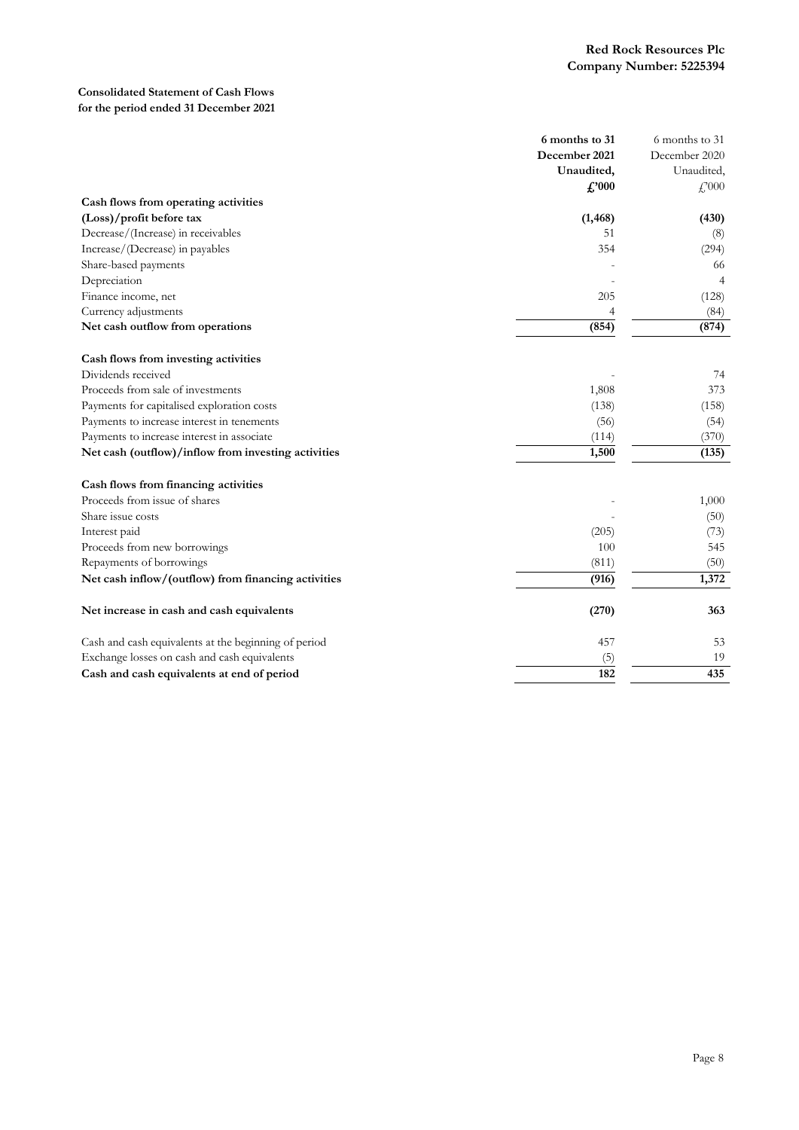## **Consolidated Statement of Cash Flows for the period ended 31 December 2021**

|                                                      | 6 months to 31 | 6 months to 31      |
|------------------------------------------------------|----------------|---------------------|
|                                                      | December 2021  | December 2020       |
|                                                      | Unaudited,     | Unaudited,          |
|                                                      | $\pounds 000$  | $\mathcal{L}^{000}$ |
| Cash flows from operating activities                 |                |                     |
| (Loss)/profit before tax                             | (1, 468)       | (430)               |
| Decrease/(Increase) in receivables                   | 51             | (8)                 |
| Increase/(Decrease) in payables                      | 354            | (294)               |
| Share-based payments                                 |                | 66                  |
| Depreciation                                         |                | 4                   |
| Finance income, net                                  | 205            | (128)               |
| Currency adjustments                                 | 4              | (84)                |
| Net cash outflow from operations                     | (854)          | (874)               |
| Cash flows from investing activities                 |                |                     |
| Dividends received                                   |                | 74                  |
| Proceeds from sale of investments                    | 1,808          | 373                 |
| Payments for capitalised exploration costs           | (138)          | (158)               |
| Payments to increase interest in tenements           | (56)           | (54)                |
| Payments to increase interest in associate           | (114)          | (370)               |
| Net cash (outflow)/inflow from investing activities  | 1,500          | (135)               |
| Cash flows from financing activities                 |                |                     |
| Proceeds from issue of shares                        |                | 1,000               |
| Share issue costs                                    |                | (50)                |
| Interest paid                                        | (205)          | (73)                |
| Proceeds from new borrowings                         | 100            | 545                 |
| Repayments of borrowings                             | (811)          | (50)                |
| Net cash inflow/(outflow) from financing activities  | (916)          | 1,372               |
| Net increase in cash and cash equivalents            | (270)          | 363                 |
|                                                      |                |                     |
| Cash and cash equivalents at the beginning of period | 457            | 53                  |
| Exchange losses on cash and cash equivalents         | (5)            | 19                  |
| Cash and cash equivalents at end of period           | 182            | 435                 |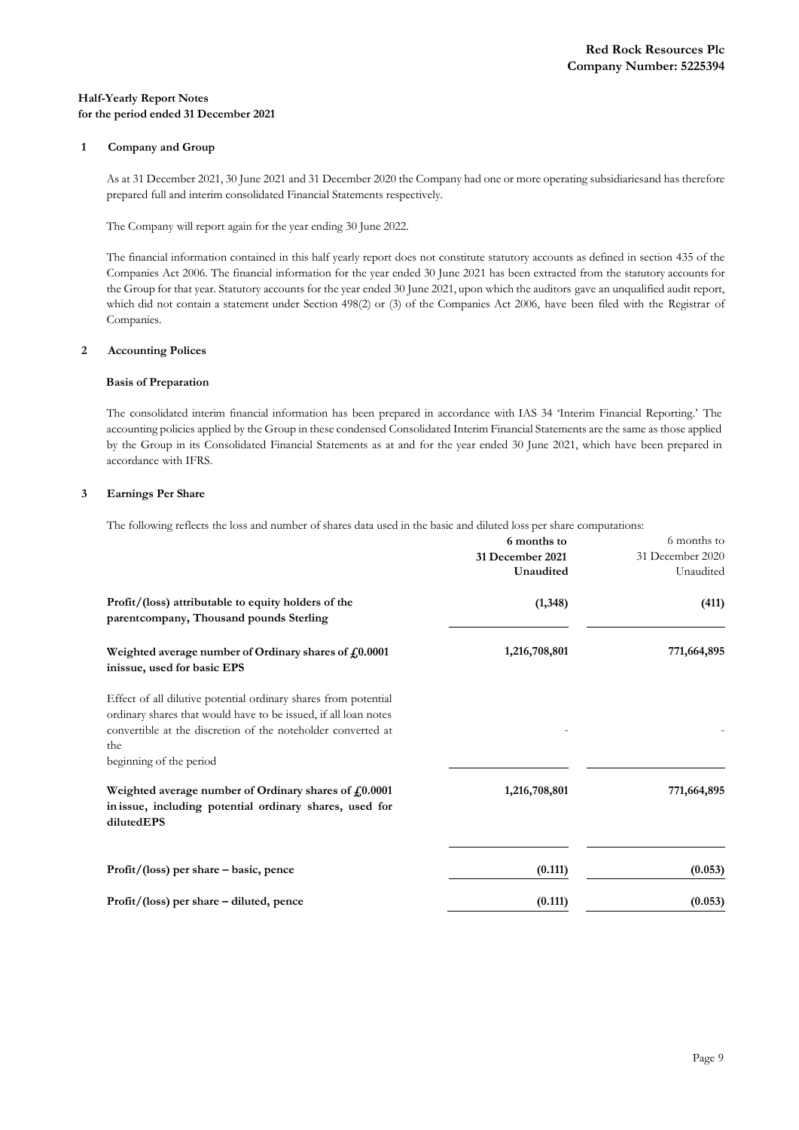## **Half-Yearly Report Notes for the period ended 31 December 2021**

## **1 Company and Group**

As at 31 December 2021, 30 June 2021 and 31 December 2020 the Company had one or more operating subsidiariesand has therefore prepared full and interim consolidated Financial Statements respectively.

The Company will report again for the year ending 30 June 2022.

The financial information contained in this half yearly report does not constitute statutory accounts as defined in section 435 of the Companies Act 2006. The financial information for the year ended 30 June 2021 has been extracted from the statutory accounts for the Group for that year. Statutory accounts for the year ended 30 June 2021, upon which the auditors gave an unqualified audit report, which did not contain a statement under Section 498(2) or (3) of the Companies Act 2006, have been filed with the Registrar of Companies.

### **2 Accounting Polices**

### **Basis of Preparation**

The consolidated interim financial information has been prepared in accordance with IAS 34 'Interim Financial Reporting.' The accounting policies applied by the Group in these condensed Consolidated Interim Financial Statements are the same as those applied by the Group in its Consolidated Financial Statements as at and for the year ended 30 June 2021, which have been prepared in accordance with IFRS.

### **3 Earnings Per Share**

The following reflects the loss and number of shares data used in the basic and diluted loss per share computations:

|                                                                                                                                                                                                                                      | 6 months to      | 6 months to      |
|--------------------------------------------------------------------------------------------------------------------------------------------------------------------------------------------------------------------------------------|------------------|------------------|
|                                                                                                                                                                                                                                      | 31 December 2021 | 31 December 2020 |
|                                                                                                                                                                                                                                      | Unaudited        | Unaudited        |
| Profit/(loss) attributable to equity holders of the<br>parent company, Thousand pounds Sterling                                                                                                                                      | (1,348)          | (411)            |
| Weighted average number of Ordinary shares of $f0.0001$<br>inissue, used for basic EPS                                                                                                                                               | 1,216,708,801    | 771,664,895      |
| Effect of all dilutive potential ordinary shares from potential<br>ordinary shares that would have to be issued, if all loan notes<br>convertible at the discretion of the noteholder converted at<br>the<br>beginning of the period |                  |                  |
| Weighted average number of Ordinary shares of $f0.0001$<br>in issue, including potential ordinary shares, used for<br>dilutedEPS                                                                                                     | 1,216,708,801    | 771,664,895      |
| $Profit/ (loss) per share - basic, pence$                                                                                                                                                                                            | (0.111)          | (0.053)          |
| $Profit/ (loss)$ per share – diluted, pence                                                                                                                                                                                          | (0.111)          | (0.053)          |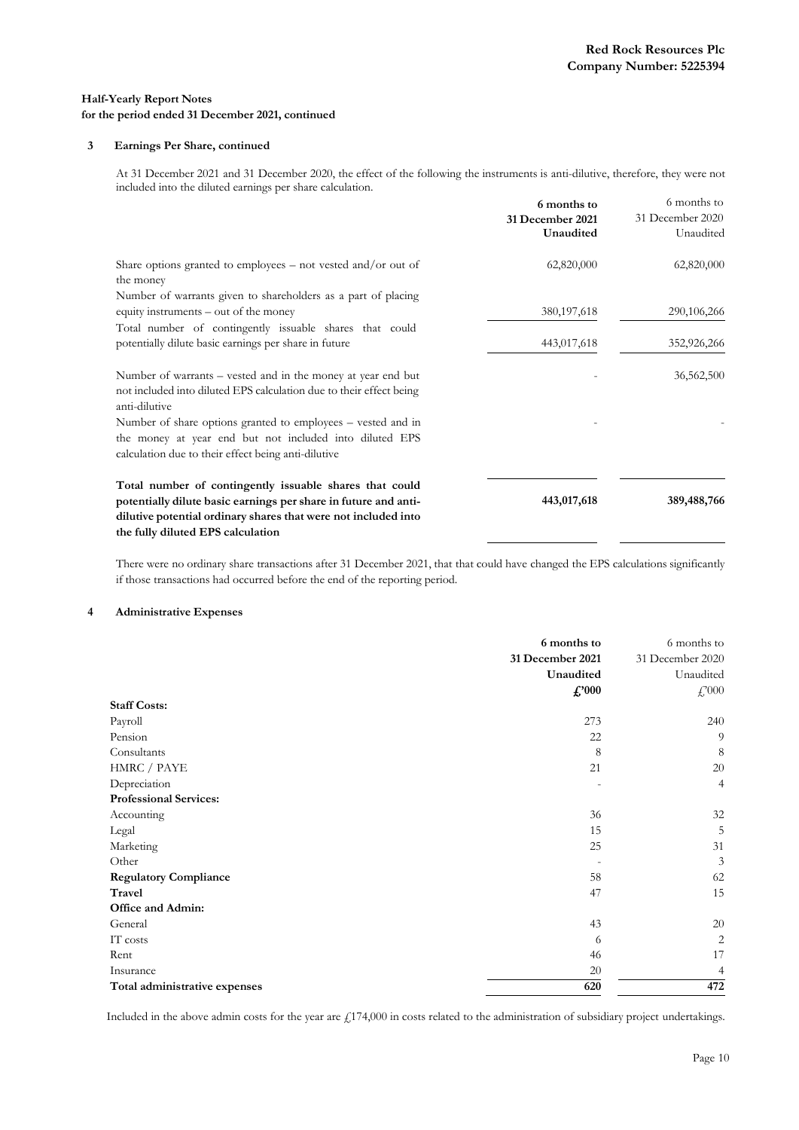### **3 Earnings Per Share, continued**

At 31 December 2021 and 31 December 2020, the effect of the following the instruments is anti-dilutive, therefore, they were not included into the diluted earnings per share calculation.

|                                                                                                                                                      | 6 months to<br>31 December 2021<br>Unaudited | 6 months to<br>31 December 2020<br>Unaudited |
|------------------------------------------------------------------------------------------------------------------------------------------------------|----------------------------------------------|----------------------------------------------|
|                                                                                                                                                      |                                              |                                              |
| Share options granted to employees – not vested and/or out of<br>the money                                                                           | 62,820,000                                   | 62,820,000                                   |
| Number of warrants given to shareholders as a part of placing                                                                                        |                                              |                                              |
| equity instruments – out of the money                                                                                                                | 380, 197, 618                                | 290,106,266                                  |
| Total number of contingently issuable shares that could                                                                                              |                                              |                                              |
| potentially dilute basic earnings per share in future                                                                                                | 443,017,618                                  | 352,926,266                                  |
|                                                                                                                                                      |                                              |                                              |
| Number of warrants – vested and in the money at year end but<br>not included into diluted EPS calculation due to their effect being<br>anti-dilutive |                                              | 36,562,500                                   |
| Number of share options granted to employees – vested and in                                                                                         |                                              |                                              |
| the money at year end but not included into diluted EPS                                                                                              |                                              |                                              |
| calculation due to their effect being anti-dilutive                                                                                                  |                                              |                                              |
| Total number of contingently issuable shares that could                                                                                              |                                              |                                              |
| potentially dilute basic earnings per share in future and anti-                                                                                      | 443,017,618                                  | 389,488,766                                  |
| dilutive potential ordinary shares that were not included into                                                                                       |                                              |                                              |
| the fully diluted EPS calculation                                                                                                                    |                                              |                                              |

There were no ordinary share transactions after 31 December 2021, that that could have changed the EPS calculations significantly if those transactions had occurred before the end of the reporting period.

#### **4 Administrative Expenses**

|                               | 6 months to<br>31 December 2021<br>Unaudited<br>$\pounds$ '000 | 6 months to<br>31 December 2020<br>Unaudited<br>$\mathcal{L}^{000}$ |
|-------------------------------|----------------------------------------------------------------|---------------------------------------------------------------------|
| <b>Staff Costs:</b>           |                                                                |                                                                     |
| Payroll                       | 273                                                            | 240                                                                 |
| Pension                       | 22                                                             | 9                                                                   |
| Consultants                   | 8                                                              | 8                                                                   |
| HMRC / PAYE                   | 21                                                             | 20                                                                  |
| Depreciation                  |                                                                | $\overline{4}$                                                      |
| <b>Professional Services:</b> |                                                                |                                                                     |
| Accounting                    | 36                                                             | 32                                                                  |
| Legal                         | 15                                                             | 5                                                                   |
| Marketing                     | 25                                                             | 31                                                                  |
| Other                         |                                                                | 3                                                                   |
| <b>Regulatory Compliance</b>  | 58                                                             | 62                                                                  |
| <b>Travel</b>                 | 47                                                             | 15                                                                  |
| Office and Admin:             |                                                                |                                                                     |
| General                       | 43                                                             | 20                                                                  |
| IT costs                      | 6                                                              | $\overline{2}$                                                      |
| Rent                          | 46                                                             | 17                                                                  |
| Insurance                     | 20                                                             | 4                                                                   |
| Total administrative expenses | 620                                                            | 472                                                                 |

Included in the above admin costs for the year are £174,000 in costs related to the administration of subsidiary project undertakings.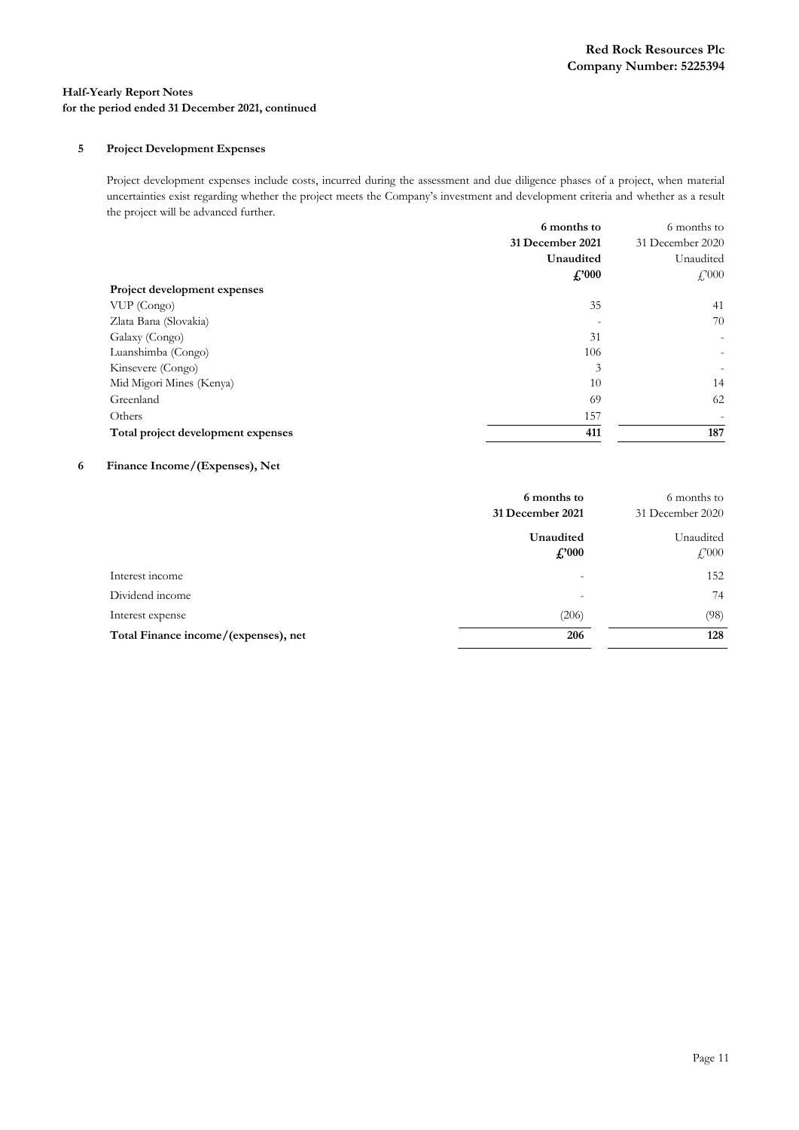## **5 Project Development Expenses**

Project development expenses include costs, incurred during the assessment and due diligence phases of a project, when material uncertainties exist regarding whether the project meets the Company's investment and development criteria and whether as a result the project will be advanced further.

|                                    | 6 months to      |                           |
|------------------------------------|------------------|---------------------------|
|                                    | 31 December 2021 | 31 December 2020          |
|                                    | Unaudited        | Unaudited                 |
|                                    | $\pounds$ '000   | $\textcolor{red}{f}$ ,000 |
| Project development expenses       |                  |                           |
| VUP (Congo)                        | 35               | 41                        |
| Zlata Bana (Slovakia)              |                  | 70                        |
| Galaxy (Congo)                     | 31               |                           |
| Luanshimba (Congo)                 | 106              | $\overline{\phantom{0}}$  |
| Kinsevere (Congo)                  | 3                |                           |
| Mid Migori Mines (Kenya)           | 10               | 14                        |
| Greenland                          | 69               | 62                        |
| Others                             | 157              |                           |
| Total project development expenses | 411              | 187                       |

## **6 Finance Income/(Expenses), Net**

|                                      | 6 months to<br>31 December 2021 | 6 months to<br>31 December 2020 |
|--------------------------------------|---------------------------------|---------------------------------|
|                                      | Unaudited<br>$\pounds$ '000     | Unaudited<br>$\pounds 000$      |
| Interest income                      | $\overline{\phantom{0}}$        | 152                             |
| Dividend income                      | $\overline{\phantom{0}}$        | 74                              |
| Interest expense                     | (206)                           | (98)                            |
| Total Finance income/(expenses), net | 206                             | 128                             |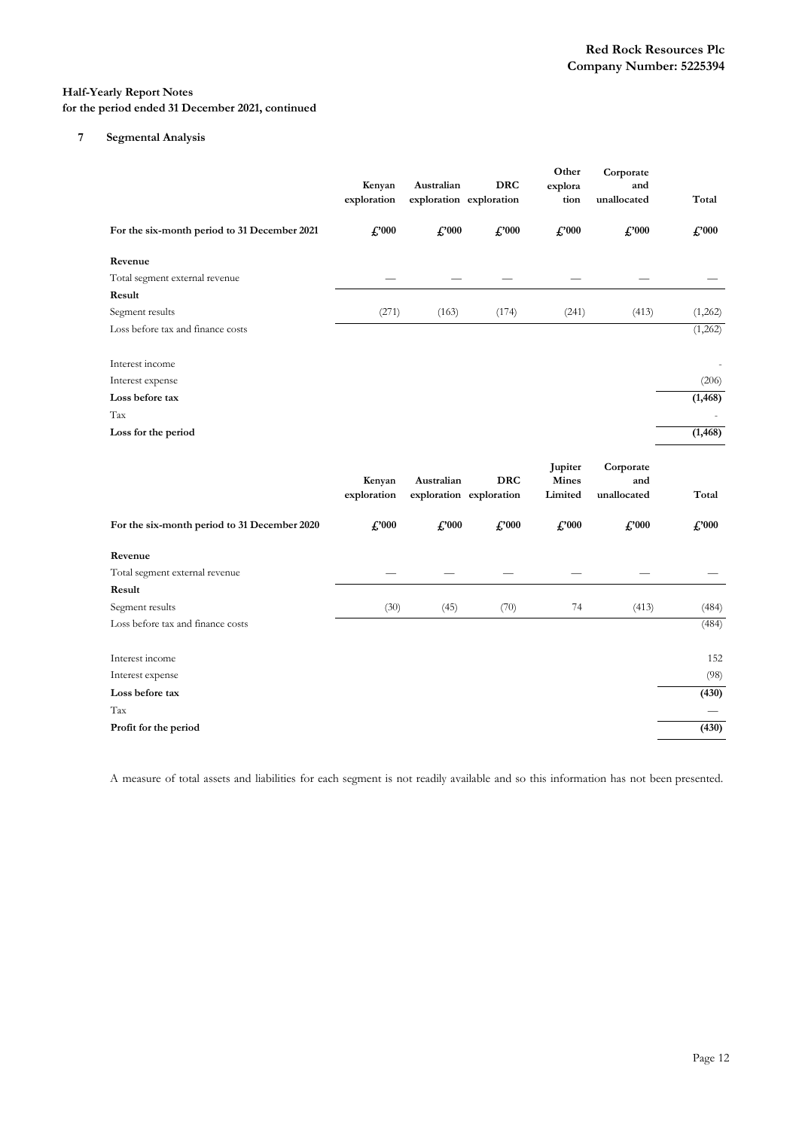## **7 Segmental Analysis**

|                                              | Kenyan<br>exploration | Australian<br>exploration exploration | <b>DRC</b>                            | Other<br>explora<br>tion           | Corporate<br>and<br>unallocated | Total          |
|----------------------------------------------|-----------------------|---------------------------------------|---------------------------------------|------------------------------------|---------------------------------|----------------|
| For the six-month period to 31 December 2021 | $f$ '000              | $\pounds$ '000                        | $\pounds 000$                         | $\pounds 000$                      | $\pounds$ '000                  | $\pounds$ '000 |
| Revenue                                      |                       |                                       |                                       |                                    |                                 |                |
| Total segment external revenue               |                       |                                       |                                       |                                    |                                 |                |
| Result                                       |                       |                                       |                                       |                                    |                                 |                |
| Segment results                              | (271)                 | (163)                                 | (174)                                 | (241)                              | (413)                           | (1,262)        |
| Loss before tax and finance costs            |                       |                                       |                                       |                                    |                                 | (1,262)        |
| Interest income                              |                       |                                       |                                       |                                    |                                 |                |
| Interest expense                             |                       |                                       |                                       |                                    |                                 | (206)          |
| Loss before tax                              |                       |                                       |                                       |                                    |                                 | (1, 468)       |
| Tax                                          |                       |                                       |                                       |                                    |                                 |                |
| Loss for the period                          |                       |                                       |                                       |                                    |                                 | (1, 468)       |
|                                              | Kenyan<br>exploration | Australian                            | <b>DRC</b><br>exploration exploration | Jupiter<br><b>Mines</b><br>Limited | Corporate<br>and<br>unallocated | Total          |
| For the six-month period to 31 December 2020 | $f$ '000              | $\pounds 000$                         | $\pounds 000$                         | $f$ '000                           | $\pounds 000$                   | $\pounds 000$  |
| Revenue                                      |                       |                                       |                                       |                                    |                                 |                |
| Total segment external revenue               |                       |                                       |                                       |                                    |                                 |                |
|                                              |                       |                                       |                                       |                                    |                                 |                |
| Result                                       |                       |                                       |                                       |                                    |                                 |                |
| Segment results                              | (30)                  | (45)                                  | (70)                                  | 74                                 | (413)                           | (484)          |
| Loss before tax and finance costs            |                       |                                       |                                       |                                    |                                 | (484)          |
| Interest income                              |                       |                                       |                                       |                                    |                                 | 152            |
| Interest expense                             |                       |                                       |                                       |                                    |                                 | (98)           |
| Loss before tax                              |                       |                                       |                                       |                                    |                                 | (430)          |
| Tax                                          |                       |                                       |                                       |                                    |                                 |                |

A measure of total assets and liabilities for each segment is not readily available and so this information has not been presented.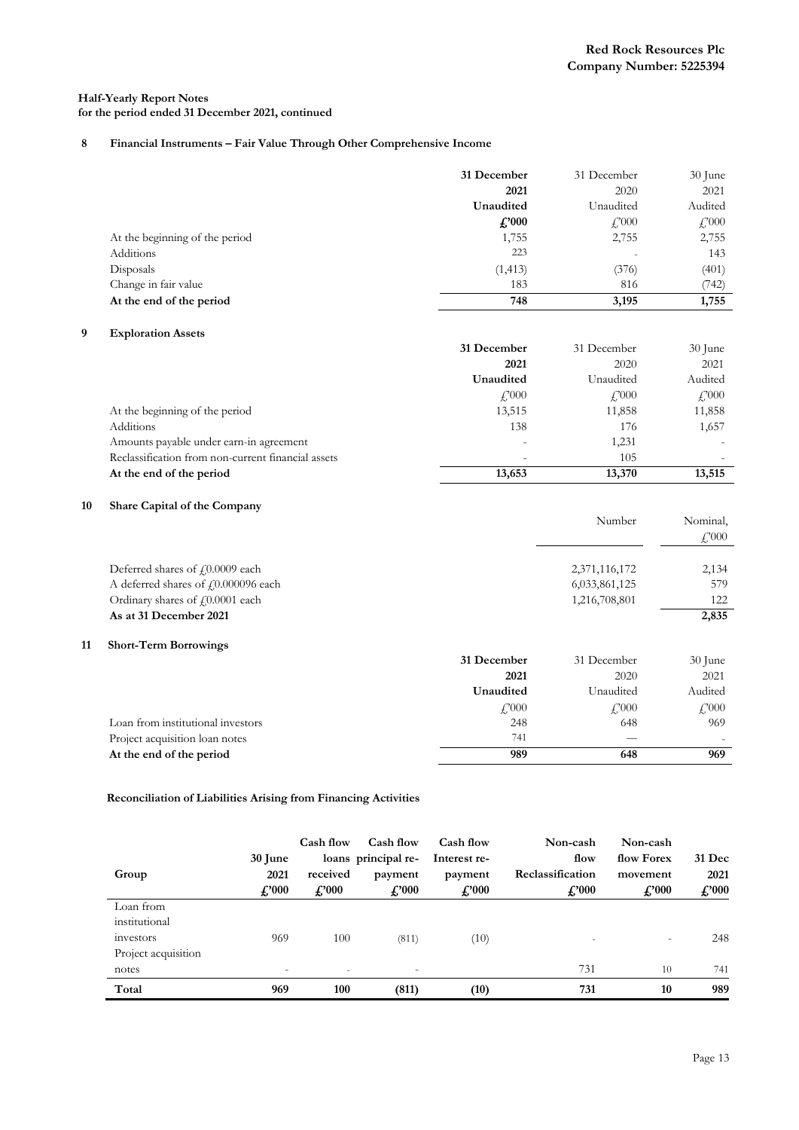## **8 Financial Instruments – Fair Value Through Other Comprehensive Income**

|                                | 31 December    | 31 December           | $30$ June                 |
|--------------------------------|----------------|-----------------------|---------------------------|
|                                | 2021           | 2020                  | 2021                      |
|                                | Unaudited      | Unaudited             | Audited                   |
|                                | $\pounds$ '000 | $\frac{17000}{25000}$ | $\textcolor{red}{f}$ ,000 |
| At the beginning of the period | 1,755          | 2,755                 | 2,755                     |
| Additions                      | 223            |                       | 143                       |
| Disposals                      | (1, 413)       | (376)                 | (401)                     |
| Change in fair value           | 183            | 816                   | (742)                     |
| At the end of the period       | 748            | 3,195                 | 1,755                     |

## **9 Exploration Assets**

|                                                    | 31 December                       | 31 December          | $30$ June                |
|----------------------------------------------------|-----------------------------------|----------------------|--------------------------|
|                                                    | 2021                              | 2020                 | 2021                     |
|                                                    | Unaudited                         | Unaudited            | Audited                  |
|                                                    | $\textcolor{red}{\mathcal{L}}000$ | $\frac{17000}{2000}$ | $\frac{17000}{25000}$    |
| At the beginning of the period                     | 13,515                            | 11,858               | 11,858                   |
| Additions                                          | 138                               | 176                  | 1,657                    |
| Amounts payable under earn-in agreement            | $\overline{\phantom{0}}$          | 1,231                | $\overline{\phantom{a}}$ |
| Reclassification from non-current financial assets | $\overline{\phantom{0}}$          | 105                  |                          |
| At the end of the period                           | 13,653                            | 13,370               | 13,515                   |

## **10 Share Capital of the Company**

|    |                                     |                    | Number                | Nominal,<br>$\angle 000$ |
|----|-------------------------------------|--------------------|-----------------------|--------------------------|
|    | Deferred shares of £0.0009 each     |                    | 2,371,116,172         | 2,134                    |
|    | A deferred shares of £0.000096 each |                    | 6,033,861,125         | 579                      |
|    | Ordinary shares of £0.0001 each     |                    | 1,216,708,801         | 122                      |
|    | As at 31 December 2021              |                    |                       | 2,835                    |
| 11 | <b>Short-Term Borrowings</b>        |                    |                       |                          |
|    |                                     | 31 December        | 31 December           | 30 June                  |
|    |                                     | 2021               | 2020                  | 2021                     |
|    |                                     | Unaudited          | Unaudited             | Audited                  |
|    |                                     | $\frac{17000}{25}$ | $\frac{17000}{25000}$ | $\frac{17000}{25000}$    |
|    | Loan from institutional investors   | 248                | 648                   | 969                      |
|    | Project acquisition loan notes      | 741                |                       |                          |

**At the end of the period 989 648 969**

#### **Reconciliation of Liabilities Arising from Financing Activities**

| Group               | 30 June<br>2021<br>$\pounds 000$ | Cash flow<br>received<br>$\pounds$ '000 | Cash flow<br>loans principal re-<br>payment<br>$\pounds$ '000 | Cash flow<br>Interest re-<br>payment<br>$\pounds$ '000 | Non-cash<br>flow<br>Reclassification<br>$\pounds$ '000 | Non-cash<br>flow Forex<br>movement<br>$\pounds$ '000 | <b>31 Dec</b><br>2021<br>$\pounds$ '000 |
|---------------------|----------------------------------|-----------------------------------------|---------------------------------------------------------------|--------------------------------------------------------|--------------------------------------------------------|------------------------------------------------------|-----------------------------------------|
| Loan from           |                                  |                                         |                                                               |                                                        |                                                        |                                                      |                                         |
| institutional       |                                  |                                         |                                                               |                                                        |                                                        |                                                      |                                         |
| investors           | 969                              | 100                                     | (811)                                                         | (10)                                                   |                                                        | $\overline{\phantom{0}}$                             | 248                                     |
| Project acquisition |                                  |                                         |                                                               |                                                        |                                                        |                                                      |                                         |
| notes               | $\overline{\phantom{a}}$         | ٠                                       | $\overline{\phantom{a}}$                                      |                                                        | 731                                                    | 10                                                   | 741                                     |
| Total               | 969                              | 100                                     | (811)                                                         | (10)                                                   | 731                                                    | 10                                                   | 989                                     |